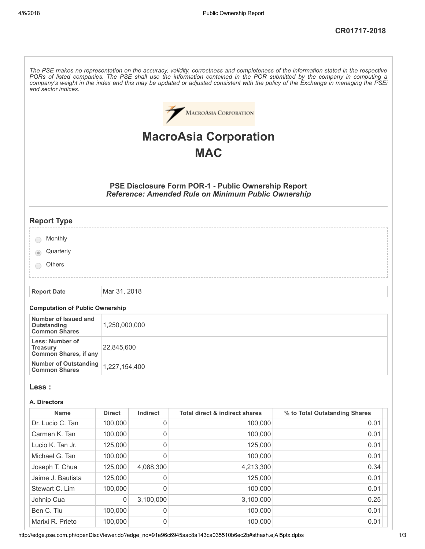| and sector indices                                                 |               |                     |                                                                                                                   | The PSE makes no representation on the accuracy, validity, correctness and completeness of the information stated in the respective<br>PORs of listed companies. The PSE shall use the information contained in the POR submitted by the company in computing a<br>company's weight in the index and this may be updated or adjusted consistent with the policy of the Exchange in managing the PSEi |
|--------------------------------------------------------------------|---------------|---------------------|-------------------------------------------------------------------------------------------------------------------|------------------------------------------------------------------------------------------------------------------------------------------------------------------------------------------------------------------------------------------------------------------------------------------------------------------------------------------------------------------------------------------------------|
|                                                                    |               |                     | <b>MACROASIA CORPORATION</b>                                                                                      |                                                                                                                                                                                                                                                                                                                                                                                                      |
|                                                                    |               |                     | <b>MacroAsia Corporation</b>                                                                                      |                                                                                                                                                                                                                                                                                                                                                                                                      |
|                                                                    |               |                     | <b>MAC</b>                                                                                                        |                                                                                                                                                                                                                                                                                                                                                                                                      |
|                                                                    |               |                     |                                                                                                                   |                                                                                                                                                                                                                                                                                                                                                                                                      |
|                                                                    |               |                     | PSE Disclosure Form POR-1 - Public Ownership Report<br><b>Reference: Amended Rule on Minimum Public Ownership</b> |                                                                                                                                                                                                                                                                                                                                                                                                      |
| <b>Report Type</b>                                                 |               |                     |                                                                                                                   |                                                                                                                                                                                                                                                                                                                                                                                                      |
| Monthly                                                            |               |                     |                                                                                                                   |                                                                                                                                                                                                                                                                                                                                                                                                      |
| Quarterly                                                          |               |                     |                                                                                                                   |                                                                                                                                                                                                                                                                                                                                                                                                      |
| Others                                                             |               |                     |                                                                                                                   |                                                                                                                                                                                                                                                                                                                                                                                                      |
| <b>Report Date</b>                                                 | Mar 31, 2018  |                     |                                                                                                                   |                                                                                                                                                                                                                                                                                                                                                                                                      |
| <b>Computation of Public Ownership</b>                             |               |                     |                                                                                                                   |                                                                                                                                                                                                                                                                                                                                                                                                      |
| Number of Issued and<br><b>Outstanding</b><br><b>Common Shares</b> | 1,250,000,000 |                     |                                                                                                                   |                                                                                                                                                                                                                                                                                                                                                                                                      |
| Less: Number of<br><b>Treasury</b><br><b>Common Shares, if any</b> | 22,845,600    |                     |                                                                                                                   |                                                                                                                                                                                                                                                                                                                                                                                                      |
| <b>Number of Outstanding</b><br><b>Common Shares</b>               | 1,227,154,400 |                     |                                                                                                                   |                                                                                                                                                                                                                                                                                                                                                                                                      |
| Less :                                                             |               |                     |                                                                                                                   |                                                                                                                                                                                                                                                                                                                                                                                                      |
| A. Directors                                                       |               |                     |                                                                                                                   |                                                                                                                                                                                                                                                                                                                                                                                                      |
| <b>Name</b>                                                        | <b>Direct</b> | <b>Indirect</b>     | <b>Total direct &amp; indirect shares</b>                                                                         | % to Total Outstanding Shares                                                                                                                                                                                                                                                                                                                                                                        |
| Dr. Lucio C. Tan                                                   | 100,000       | $\mathsf{O}\xspace$ | 100,000                                                                                                           | 0.01                                                                                                                                                                                                                                                                                                                                                                                                 |
| Carmen K. Tan                                                      | 100,000       | $\mathsf{O}\xspace$ | 100,000                                                                                                           | 0.01                                                                                                                                                                                                                                                                                                                                                                                                 |
| Lucio K. Tan Jr.                                                   | 125,000       | $\mathsf 0$         | 125,000                                                                                                           | 0.01                                                                                                                                                                                                                                                                                                                                                                                                 |
| Michael G. Tan                                                     | 100,000       | $\mathbf 0$         | 100,000                                                                                                           | 0.01                                                                                                                                                                                                                                                                                                                                                                                                 |
| Joseph T. Chua                                                     | 125,000       | 4,088,300           | 4,213,300                                                                                                         | 0.34                                                                                                                                                                                                                                                                                                                                                                                                 |
| Jaime J. Bautista                                                  | 125,000       | 0                   | 125,000                                                                                                           | 0.01                                                                                                                                                                                                                                                                                                                                                                                                 |
| Stewart C. Lim                                                     | 100,000       | 0                   | 100,000                                                                                                           | 0.01                                                                                                                                                                                                                                                                                                                                                                                                 |
| Johnip Cua                                                         | $\mathbf 0$   | 3,100,000           | 3,100,000                                                                                                         | 0.25                                                                                                                                                                                                                                                                                                                                                                                                 |
| Ben C. Tiu                                                         | 100,000       | 0                   | 100,000                                                                                                           | 0.01                                                                                                                                                                                                                                                                                                                                                                                                 |
| Marixi R. Prieto                                                   | 100,000       | 0                   | 100,000                                                                                                           | 0.01                                                                                                                                                                                                                                                                                                                                                                                                 |

http://edge.pse.com.ph/openDiscViewer.do?edge\_no=91e96c6945aac8a143ca035510b6ec2b#sthash.ejAI5ptx.dpbs 1/3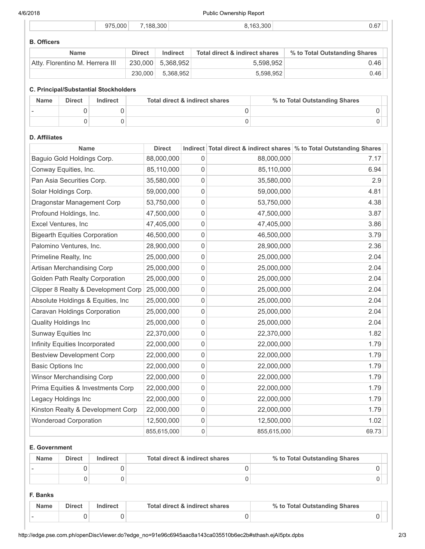4/6/2018 Public Ownership Report

|  |  | 5.000<br>Q7' | 188.300 | .300<br>16 <sup>o</sup> | J.C |
|--|--|--------------|---------|-------------------------|-----|
|--|--|--------------|---------|-------------------------|-----|

# B. Officers

| <b>Name</b>                     | <b>Direct</b> | Indirect          | Total direct & indirect shares | % to Total Outstanding Shares |
|---------------------------------|---------------|-------------------|--------------------------------|-------------------------------|
| Atty. Florentino M. Herrera III |               | 230,000 5.368.952 | 5.598.952                      | 0.46                          |
|                                 | 230,000       | 5,368,952         | 5,598,952                      | 0.46                          |

## C. Principal/Substantial Stockholders

| <b>Name</b> | <b>Direct</b> | Indirect | Total direct & indirect shares | % to Total Outstanding Shares |
|-------------|---------------|----------|--------------------------------|-------------------------------|
|             |               |          |                                |                               |
|             |               |          |                                |                               |

## D. Affiliates

| <b>Name</b>                           | <b>Direct</b> |   |             | Indirect Total direct & indirect shares \% to Total Outstanding Shares |
|---------------------------------------|---------------|---|-------------|------------------------------------------------------------------------|
| Baguio Gold Holdings Corp.            | 88,000,000    | 0 | 88,000,000  | 7.17                                                                   |
| Conway Equities, Inc.                 | 85,110,000    | 0 | 85,110,000  | 6.94                                                                   |
| Pan Asia Securities Corp.             | 35,580,000    | 0 | 35,580,000  | 2.9                                                                    |
| Solar Holdings Corp.                  | 59,000,000    | 0 | 59,000,000  | 4.81                                                                   |
| Dragonstar Management Corp            | 53,750,000    | 0 | 53,750,000  | 4.38                                                                   |
| Profound Holdings, Inc.               | 47,500,000    | 0 | 47,500,000  | 3.87                                                                   |
| Excel Ventures, Inc                   | 47,405,000    | 0 | 47,405,000  | 3.86                                                                   |
| <b>Bigearth Equities Corporation</b>  | 46,500,000    | 0 | 46,500,000  | 3.79                                                                   |
| Palomino Ventures, Inc.               | 28,900,000    | 0 | 28,900,000  | 2.36                                                                   |
| Primeline Realty, Inc                 | 25,000,000    | 0 | 25,000,000  | 2.04                                                                   |
| Artisan Merchandising Corp            | 25,000,000    | 0 | 25,000,000  | 2.04                                                                   |
| <b>Golden Path Realty Corporation</b> | 25,000,000    | 0 | 25,000,000  | 2.04                                                                   |
| Clipper 8 Realty & Development Corp   | 25,000,000    | 0 | 25,000,000  | 2.04                                                                   |
| Absolute Holdings & Equities, Inc     | 25,000,000    | 0 | 25,000,000  | 2.04                                                                   |
| Caravan Holdings Corporation          | 25,000,000    | 0 | 25,000,000  | 2.04                                                                   |
| <b>Quality Holdings Inc</b>           | 25,000,000    | 0 | 25,000,000  | 2.04                                                                   |
| Sunway Equities Inc                   | 22,370,000    | 0 | 22,370,000  | 1.82                                                                   |
| Infinity Equities Incorporated        | 22,000,000    | 0 | 22,000,000  | 1.79                                                                   |
| <b>Bestview Development Corp</b>      | 22,000,000    | 0 | 22,000,000  | 1.79                                                                   |
| <b>Basic Options Inc</b>              | 22,000,000    | 0 | 22,000,000  | 1.79                                                                   |
| <b>Winsor Merchandising Corp</b>      | 22,000,000    | 0 | 22,000,000  | 1.79                                                                   |
| Prima Equities & Investments Corp     | 22,000,000    | 0 | 22,000,000  | 1.79                                                                   |
| Legacy Holdings Inc                   | 22,000,000    | 0 | 22,000,000  | 1.79                                                                   |
| Kinston Realty & Development Corp     | 22,000,000    | 0 | 22,000,000  | 1.79                                                                   |
| <b>Wonderoad Corporation</b>          | 12,500,000    | 0 | 12,500,000  | 1.02                                                                   |
|                                       | 855,615,000   | 0 | 855,615,000 | 69.73                                                                  |

# E. Government

| <b>Name</b> | <b>Direct</b> | Indirect | Total direct & indirect shares | % to Total Outstanding Shares |
|-------------|---------------|----------|--------------------------------|-------------------------------|
|             |               |          |                                |                               |
|             |               |          |                                |                               |

## F. Banks

| <b>Name</b> | <b>Direct</b> | Indirect | Total direct & indirect shares | % to Total Outstanding Shares |  |
|-------------|---------------|----------|--------------------------------|-------------------------------|--|
|             |               |          |                                |                               |  |